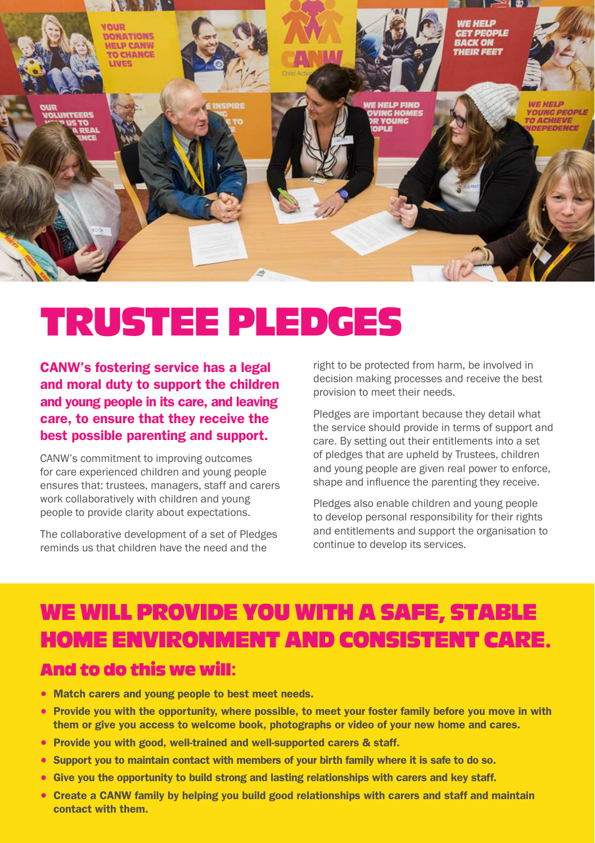

# TRUSTEE PLEDGES

CANW's fostering service has a legal and moral duty to support the children and young people in its care, and leaving care, to ensure that they receive the best possible parenting and support.

CANW's commitment to improving outcomes for care experienced children and young people ensures that: trustees, managers, staff and carers work collaboratively with children and young people to provide clarity about expectations.

The collaborative development of a set of Pledges reminds us that children have the need and the

right to be protected from harm, be involved in decision making processes and receive the best provision to meet their needs.

Pledges are important because they detail what the service should provide in terms of support and care. By setting out their entitlements into a set of pledges that are upheld by Trustees, children and young people are given real power to enforce, shape and influence the parenting they receive.

Pledges also enable children and young people to develop personal responsibility for their rights and entitlements and support the organisation to continue to develop its services.

# WE WILL PROVIDE YOU WITH A SAFE, STABLE HOME ENVIRONMENT AND CONSISTENT CARE. And to do this we will:

- Match carers and young people to best meet needs.
- Provide you with the opportunity, where possible, to meet your foster family before you move in with them or give you access to welcome book, photographs or video of your new home and cares.
- Provide you with good, well-trained and well-supported carers & staff.
- Support you to maintain contact with members of your birth family where it is safe to do so.
- Give you the opportunity to build strong and lasting relationships with carers and key staff.
- Create a CANW family by helping you build good relationships with carers and staff and maintain contact with them.